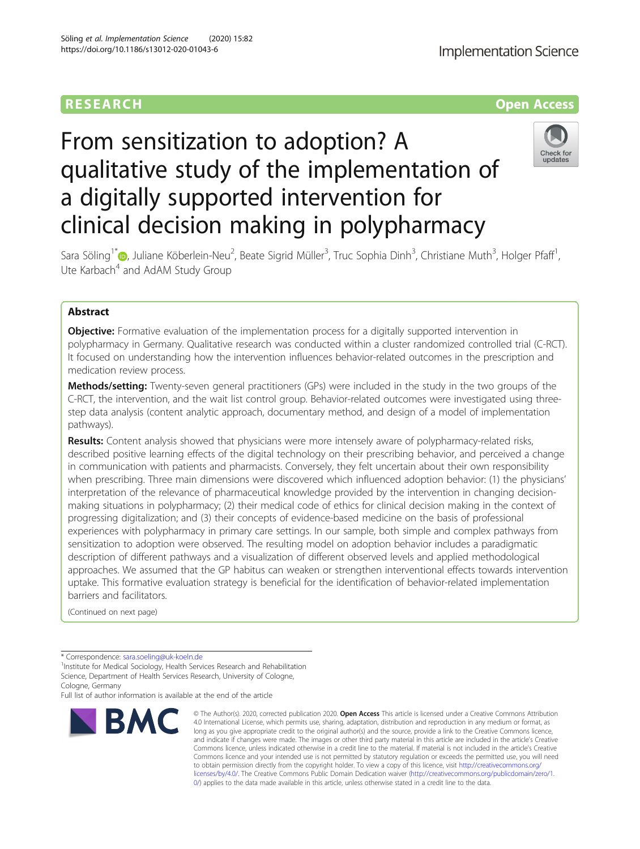## RESEARCH **RESEARCH CONSUMING ACCESS**

# From sensitization to adoption? A qualitative study of the implementation of a digitally supported intervention for clinical decision making in polypharmacy



Sara Söling<sup>1\*</sup>�[,](http://orcid.org/0000-0002-0752-358X) Juliane Köberlein-Neu<sup>2</sup>, Beate Sigrid Müller<sup>3</sup>, Truc Sophia Dinh<sup>3</sup>, Christiane Muth<sup>3</sup>, Holger Pfaff<sup>1</sup> , Ute Karbach<sup>4</sup> and AdAM Study Group

## Abstract

**Objective:** Formative evaluation of the implementation process for a digitally supported intervention in polypharmacy in Germany. Qualitative research was conducted within a cluster randomized controlled trial (C-RCT). It focused on understanding how the intervention influences behavior-related outcomes in the prescription and medication review process.

Methods/setting: Twenty-seven general practitioners (GPs) were included in the study in the two groups of the C-RCT, the intervention, and the wait list control group. Behavior-related outcomes were investigated using threestep data analysis (content analytic approach, documentary method, and design of a model of implementation pathways).

Results: Content analysis showed that physicians were more intensely aware of polypharmacy-related risks, described positive learning effects of the digital technology on their prescribing behavior, and perceived a change in communication with patients and pharmacists. Conversely, they felt uncertain about their own responsibility when prescribing. Three main dimensions were discovered which influenced adoption behavior: (1) the physicians' interpretation of the relevance of pharmaceutical knowledge provided by the intervention in changing decisionmaking situations in polypharmacy; (2) their medical code of ethics for clinical decision making in the context of progressing digitalization; and (3) their concepts of evidence-based medicine on the basis of professional experiences with polypharmacy in primary care settings. In our sample, both simple and complex pathways from sensitization to adoption were observed. The resulting model on adoption behavior includes a paradigmatic description of different pathways and a visualization of different observed levels and applied methodological approaches. We assumed that the GP habitus can weaken or strengthen interventional effects towards intervention uptake. This formative evaluation strategy is beneficial for the identification of behavior-related implementation barriers and facilitators.

(Continued on next page)

Cologne, Germany

Full list of author information is available at the end of the article



© The Author(s). 2020, corrected publication 2020. Open Access This article is licensed under a Creative Commons Attribution 4.0 International License, which permits use, sharing, adaptation, distribution and reproduction in any medium or format, as long as you give appropriate credit to the original author(s) and the source, provide a link to the Creative Commons licence, and indicate if changes were made. The images or other third party material in this article are included in the article's Creative Commons licence, unless indicated otherwise in a credit line to the material. If material is not included in the article's Creative Commons licence and your intended use is not permitted by statutory regulation or exceeds the permitted use, you will need to obtain permission directly from the copyright holder. To view a copy of this licence, visit [http://creativecommons.org/](http://creativecommons.org/licenses/by/4.0/) [licenses/by/4.0/.](http://creativecommons.org/licenses/by/4.0/) The Creative Commons Public Domain Dedication waiver ([http://creativecommons.org/publicdomain/zero/1.](http://creativecommons.org/publicdomain/zero/1.0/) [0/\)](http://creativecommons.org/publicdomain/zero/1.0/) applies to the data made available in this article, unless otherwise stated in a credit line to the data.

<sup>\*</sup> Correspondence: [sara.soeling@uk-koeln.de](mailto:sara.soeling@uk-koeln.de) <sup>1</sup>

<sup>&</sup>lt;sup>1</sup>Institute for Medical Sociology, Health Services Research and Rehabilitation Science, Department of Health Services Research, University of Cologne,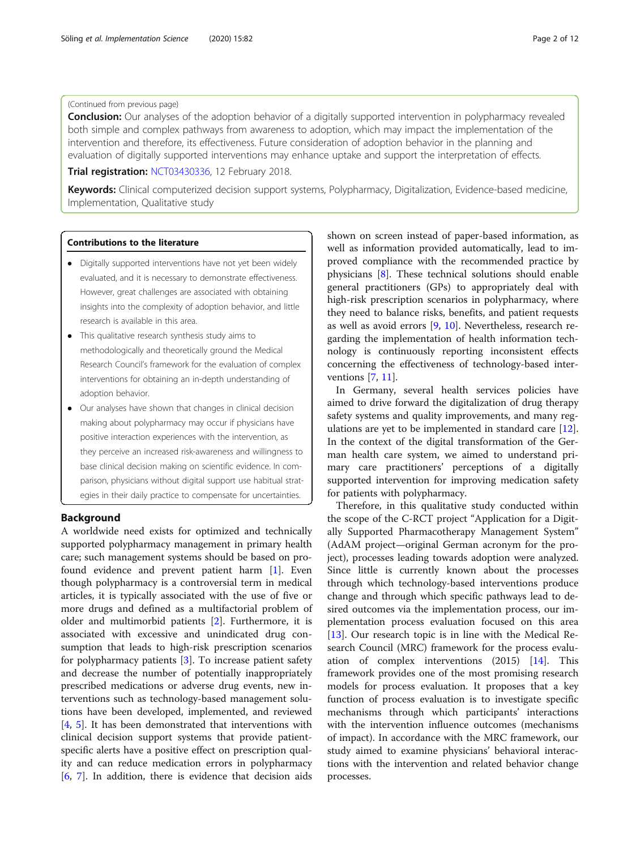## (Continued from previous page)

**Conclusion:** Our analyses of the adoption behavior of a digitally supported intervention in polypharmacy revealed both simple and complex pathways from awareness to adoption, which may impact the implementation of the intervention and therefore, its effectiveness. Future consideration of adoption behavior in the planning and evaluation of digitally supported interventions may enhance uptake and support the interpretation of effects.

Trial registration: [NCT03430336](https://clinicaltrials.gov/ct2/show/NCT03430336), 12 February 2018.

Keywords: Clinical computerized decision support systems, Polypharmacy, Digitalization, Evidence-based medicine, Implementation, Qualitative study

## Contributions to the literature

- Digitally supported interventions have not yet been widely evaluated, and it is necessary to demonstrate effectiveness. However, great challenges are associated with obtaining insights into the complexity of adoption behavior, and little research is available in this area.
- This qualitative research synthesis study aims to methodologically and theoretically ground the Medical Research Council's framework for the evaluation of complex interventions for obtaining an in-depth understanding of adoption behavior.
- Our analyses have shown that changes in clinical decision making about polypharmacy may occur if physicians have positive interaction experiences with the intervention, as they perceive an increased risk-awareness and willingness to base clinical decision making on scientific evidence. In comparison, physicians without digital support use habitual strategies in their daily practice to compensate for uncertainties.

## **Background**

A worldwide need exists for optimized and technically supported polypharmacy management in primary health care; such management systems should be based on profound evidence and prevent patient harm [[1\]](#page-10-0). Even though polypharmacy is a controversial term in medical articles, it is typically associated with the use of five or more drugs and defined as a multifactorial problem of older and multimorbid patients [\[2](#page-10-0)]. Furthermore, it is associated with excessive and unindicated drug consumption that leads to high-risk prescription scenarios for polypharmacy patients [[3\]](#page-10-0). To increase patient safety and decrease the number of potentially inappropriately prescribed medications or adverse drug events, new interventions such as technology-based management solutions have been developed, implemented, and reviewed [[4,](#page-10-0) [5\]](#page-11-0). It has been demonstrated that interventions with clinical decision support systems that provide patientspecific alerts have a positive effect on prescription quality and can reduce medication errors in polypharmacy [[6,](#page-11-0) [7](#page-11-0)]. In addition, there is evidence that decision aids

shown on screen instead of paper-based information, as well as information provided automatically, lead to improved compliance with the recommended practice by physicians [\[8](#page-11-0)]. These technical solutions should enable general practitioners (GPs) to appropriately deal with high-risk prescription scenarios in polypharmacy, where they need to balance risks, benefits, and patient requests as well as avoid errors [\[9](#page-11-0), [10\]](#page-11-0). Nevertheless, research regarding the implementation of health information technology is continuously reporting inconsistent effects concerning the effectiveness of technology-based interventions [\[7](#page-11-0), [11\]](#page-11-0).

In Germany, several health services policies have aimed to drive forward the digitalization of drug therapy safety systems and quality improvements, and many regulations are yet to be implemented in standard care [\[12](#page-11-0)]. In the context of the digital transformation of the German health care system, we aimed to understand primary care practitioners' perceptions of a digitally supported intervention for improving medication safety for patients with polypharmacy.

Therefore, in this qualitative study conducted within the scope of the C-RCT project "Application for a Digitally Supported Pharmacotherapy Management System" (AdAM project—original German acronym for the project), processes leading towards adoption were analyzed. Since little is currently known about the processes through which technology-based interventions produce change and through which specific pathways lead to desired outcomes via the implementation process, our implementation process evaluation focused on this area [[13\]](#page-11-0). Our research topic is in line with the Medical Research Council (MRC) framework for the process evaluation of complex interventions (2015) [\[14\]](#page-11-0). This framework provides one of the most promising research models for process evaluation. It proposes that a key function of process evaluation is to investigate specific mechanisms through which participants' interactions with the intervention influence outcomes (mechanisms of impact). In accordance with the MRC framework, our study aimed to examine physicians' behavioral interactions with the intervention and related behavior change processes.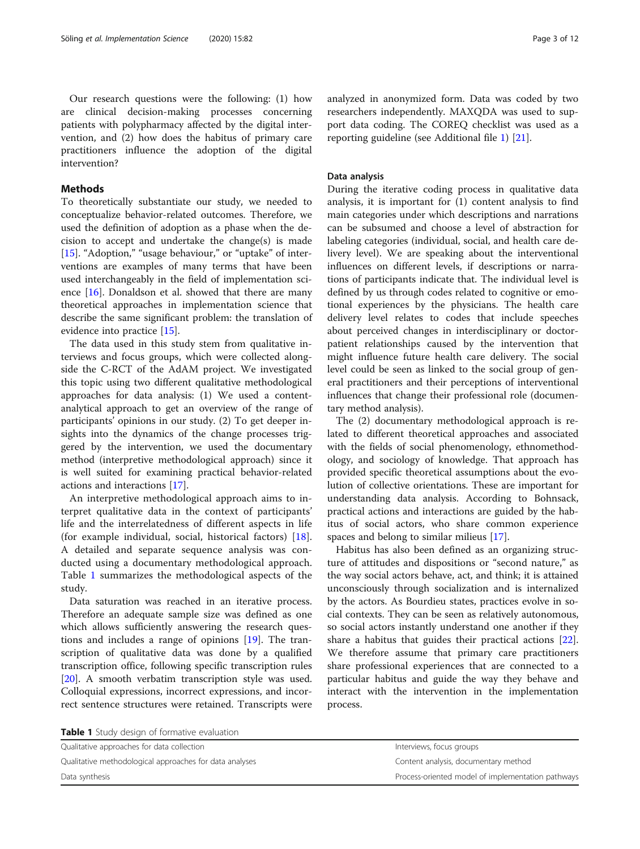Our research questions were the following: (1) how are clinical decision-making processes concerning patients with polypharmacy affected by the digital intervention, and (2) how does the habitus of primary care practitioners influence the adoption of the digital intervention?

## Methods

To theoretically substantiate our study, we needed to conceptualize behavior-related outcomes. Therefore, we used the definition of adoption as a phase when the decision to accept and undertake the change(s) is made [[15\]](#page-11-0). "Adoption," "usage behaviour," or "uptake" of interventions are examples of many terms that have been used interchangeably in the field of implementation science [\[16](#page-11-0)]. Donaldson et al. showed that there are many theoretical approaches in implementation science that describe the same significant problem: the translation of evidence into practice [\[15](#page-11-0)].

The data used in this study stem from qualitative interviews and focus groups, which were collected alongside the C-RCT of the AdAM project. We investigated this topic using two different qualitative methodological approaches for data analysis: (1) We used a contentanalytical approach to get an overview of the range of participants' opinions in our study. (2) To get deeper insights into the dynamics of the change processes triggered by the intervention, we used the documentary method (interpretive methodological approach) since it is well suited for examining practical behavior-related actions and interactions [[17](#page-11-0)].

An interpretive methodological approach aims to interpret qualitative data in the context of participants' life and the interrelatedness of different aspects in life (for example individual, social, historical factors) [\[18](#page-11-0)]. A detailed and separate sequence analysis was conducted using a documentary methodological approach. Table 1 summarizes the methodological aspects of the study.

Data saturation was reached in an iterative process. Therefore an adequate sample size was defined as one which allows sufficiently answering the research questions and includes a range of opinions [[19\]](#page-11-0). The transcription of qualitative data was done by a qualified transcription office, following specific transcription rules [[20\]](#page-11-0). A smooth verbatim transcription style was used. Colloquial expressions, incorrect expressions, and incorrect sentence structures were retained. Transcripts were analyzed in anonymized form. Data was coded by two researchers independently. MAXQDA was used to support data coding. The COREQ checklist was used as a reporting guideline (see Additional file [1\)](#page-10-0) [[21\]](#page-11-0).

## Data analysis

During the iterative coding process in qualitative data analysis, it is important for (1) content analysis to find main categories under which descriptions and narrations can be subsumed and choose a level of abstraction for labeling categories (individual, social, and health care delivery level). We are speaking about the interventional influences on different levels, if descriptions or narrations of participants indicate that. The individual level is defined by us through codes related to cognitive or emotional experiences by the physicians. The health care delivery level relates to codes that include speeches about perceived changes in interdisciplinary or doctorpatient relationships caused by the intervention that might influence future health care delivery. The social level could be seen as linked to the social group of general practitioners and their perceptions of interventional influences that change their professional role (documentary method analysis).

The (2) documentary methodological approach is related to different theoretical approaches and associated with the fields of social phenomenology, ethnomethodology, and sociology of knowledge. That approach has provided specific theoretical assumptions about the evolution of collective orientations. These are important for understanding data analysis. According to Bohnsack, practical actions and interactions are guided by the habitus of social actors, who share common experience spaces and belong to similar milieus [\[17](#page-11-0)].

Habitus has also been defined as an organizing structure of attitudes and dispositions or "second nature," as the way social actors behave, act, and think; it is attained unconsciously through socialization and is internalized by the actors. As Bourdieu states, practices evolve in social contexts. They can be seen as relatively autonomous, so social actors instantly understand one another if they share a habitus that guides their practical actions [\[22](#page-11-0)]. We therefore assume that primary care practitioners share professional experiences that are connected to a particular habitus and guide the way they behave and interact with the intervention in the implementation process.

| Qualitative approaches for data collection              | Interviews, focus groups                          |
|---------------------------------------------------------|---------------------------------------------------|
| Qualitative methodological approaches for data analyses | Content analysis, documentary method              |
| Data synthesis                                          | Process-oriented model of implementation pathways |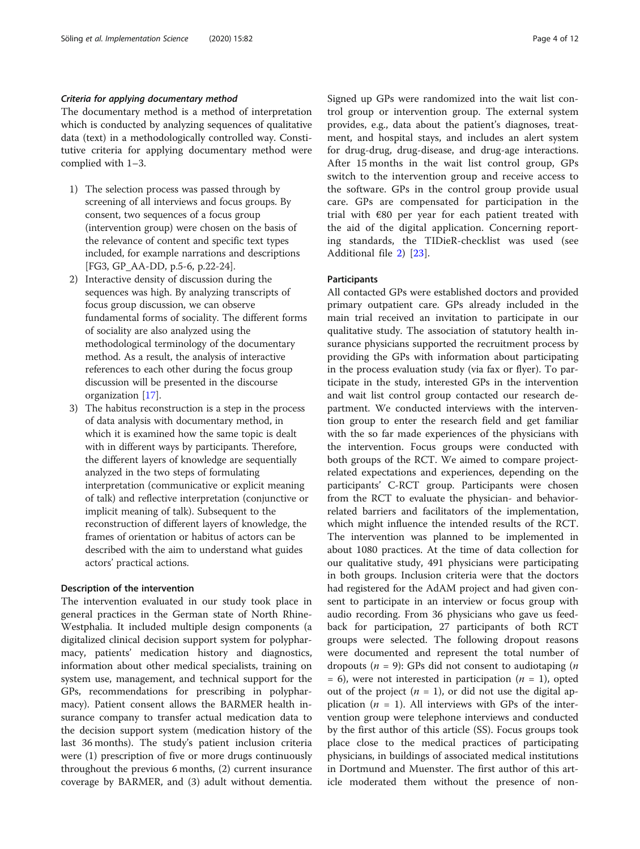## Criteria for applying documentary method

The documentary method is a method of interpretation which is conducted by analyzing sequences of qualitative data (text) in a methodologically controlled way. Constitutive criteria for applying documentary method were complied with 1–3.

- 1) The selection process was passed through by screening of all interviews and focus groups. By consent, two sequences of a focus group (intervention group) were chosen on the basis of the relevance of content and specific text types included, for example narrations and descriptions [FG3, GP\_AA-DD, p.5-6, p.22-24].
- 2) Interactive density of discussion during the sequences was high. By analyzing transcripts of focus group discussion, we can observe fundamental forms of sociality. The different forms of sociality are also analyzed using the methodological terminology of the documentary method. As a result, the analysis of interactive references to each other during the focus group discussion will be presented in the discourse organization [\[17\]](#page-11-0).
- 3) The habitus reconstruction is a step in the process of data analysis with documentary method, in which it is examined how the same topic is dealt with in different ways by participants. Therefore, the different layers of knowledge are sequentially analyzed in the two steps of formulating interpretation (communicative or explicit meaning of talk) and reflective interpretation (conjunctive or implicit meaning of talk). Subsequent to the reconstruction of different layers of knowledge, the frames of orientation or habitus of actors can be described with the aim to understand what guides actors' practical actions.

## Description of the intervention

The intervention evaluated in our study took place in general practices in the German state of North Rhine-Westphalia. It included multiple design components (a digitalized clinical decision support system for polypharmacy, patients' medication history and diagnostics, information about other medical specialists, training on system use, management, and technical support for the GPs, recommendations for prescribing in polypharmacy). Patient consent allows the BARMER health insurance company to transfer actual medication data to the decision support system (medication history of the last 36 months). The study's patient inclusion criteria were (1) prescription of five or more drugs continuously throughout the previous 6 months, (2) current insurance coverage by BARMER, and (3) adult without dementia. Signed up GPs were randomized into the wait list control group or intervention group. The external system provides, e.g., data about the patient's diagnoses, treatment, and hospital stays, and includes an alert system for drug-drug, drug-disease, and drug-age interactions. After 15 months in the wait list control group, GPs switch to the intervention group and receive access to the software. GPs in the control group provide usual care. GPs are compensated for participation in the trial with €80 per year for each patient treated with the aid of the digital application. Concerning reporting standards, the TIDieR-checklist was used (see Additional file [2](#page-10-0)) [[23\]](#page-11-0).

## **Participants**

All contacted GPs were established doctors and provided primary outpatient care. GPs already included in the main trial received an invitation to participate in our qualitative study. The association of statutory health insurance physicians supported the recruitment process by providing the GPs with information about participating in the process evaluation study (via fax or flyer). To participate in the study, interested GPs in the intervention and wait list control group contacted our research department. We conducted interviews with the intervention group to enter the research field and get familiar with the so far made experiences of the physicians with the intervention. Focus groups were conducted with both groups of the RCT. We aimed to compare projectrelated expectations and experiences, depending on the participants' C-RCT group. Participants were chosen from the RCT to evaluate the physician- and behaviorrelated barriers and facilitators of the implementation, which might influence the intended results of the RCT. The intervention was planned to be implemented in about 1080 practices. At the time of data collection for our qualitative study, 491 physicians were participating in both groups. Inclusion criteria were that the doctors had registered for the AdAM project and had given consent to participate in an interview or focus group with audio recording. From 36 physicians who gave us feedback for participation, 27 participants of both RCT groups were selected. The following dropout reasons were documented and represent the total number of dropouts ( $n = 9$ ): GPs did not consent to audiotaping ( $n$  $= 6$ ), were not interested in participation ( $n = 1$ ), opted out of the project  $(n = 1)$ , or did not use the digital application ( $n = 1$ ). All interviews with GPs of the intervention group were telephone interviews and conducted by the first author of this article (SS). Focus groups took place close to the medical practices of participating physicians, in buildings of associated medical institutions in Dortmund and Muenster. The first author of this article moderated them without the presence of non-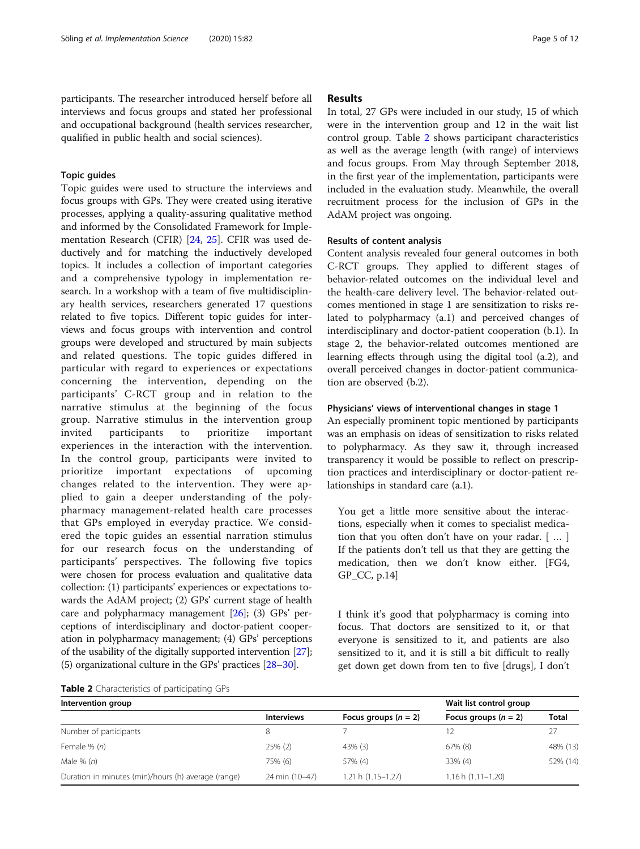participants. The researcher introduced herself before all interviews and focus groups and stated her professional and occupational background (health services researcher, qualified in public health and social sciences).

## Topic guides

Topic guides were used to structure the interviews and focus groups with GPs. They were created using iterative processes, applying a quality-assuring qualitative method and informed by the Consolidated Framework for Implementation Research (CFIR) [[24,](#page-11-0) [25](#page-11-0)]. CFIR was used deductively and for matching the inductively developed topics. It includes a collection of important categories and a comprehensive typology in implementation research. In a workshop with a team of five multidisciplinary health services, researchers generated 17 questions related to five topics. Different topic guides for interviews and focus groups with intervention and control groups were developed and structured by main subjects and related questions. The topic guides differed in particular with regard to experiences or expectations concerning the intervention, depending on the participants' C-RCT group and in relation to the narrative stimulus at the beginning of the focus group. Narrative stimulus in the intervention group invited participants to prioritize important experiences in the interaction with the intervention. In the control group, participants were invited to prioritize important expectations of upcoming changes related to the intervention. They were applied to gain a deeper understanding of the polypharmacy management-related health care processes that GPs employed in everyday practice. We considered the topic guides an essential narration stimulus for our research focus on the understanding of participants' perspectives. The following five topics were chosen for process evaluation and qualitative data collection: (1) participants' experiences or expectations towards the AdAM project; (2) GPs' current stage of health care and polypharmacy management [[26](#page-11-0)]; (3) GPs' perceptions of interdisciplinary and doctor-patient cooperation in polypharmacy management; (4) GPs' perceptions of the usability of the digitally supported intervention [[27](#page-11-0)]; (5) organizational culture in the GPs' practices [[28](#page-11-0)–[30\]](#page-11-0).

Table 2 Characteristics of participating GPs

## Results

In total, 27 GPs were included in our study, 15 of which were in the intervention group and 12 in the wait list control group. Table 2 shows participant characteristics as well as the average length (with range) of interviews and focus groups. From May through September 2018, in the first year of the implementation, participants were included in the evaluation study. Meanwhile, the overall recruitment process for the inclusion of GPs in the AdAM project was ongoing.

## Results of content analysis

Content analysis revealed four general outcomes in both C-RCT groups. They applied to different stages of behavior-related outcomes on the individual level and the health-care delivery level. The behavior-related outcomes mentioned in stage 1 are sensitization to risks related to polypharmacy (a.1) and perceived changes of interdisciplinary and doctor-patient cooperation (b.1). In stage 2, the behavior-related outcomes mentioned are learning effects through using the digital tool (a.2), and overall perceived changes in doctor-patient communication are observed (b.2).

## Physicians' views of interventional changes in stage 1

An especially prominent topic mentioned by participants was an emphasis on ideas of sensitization to risks related to polypharmacy. As they saw it, through increased transparency it would be possible to reflect on prescription practices and interdisciplinary or doctor-patient relationships in standard care (a.1).

You get a little more sensitive about the interactions, especially when it comes to specialist medication that you often don't have on your radar. [ … ] If the patients don't tell us that they are getting the medication, then we don't know either. [FG4, GP\_CC, p.14]

I think it's good that polypharmacy is coming into focus. That doctors are sensitized to it, or that everyone is sensitized to it, and patients are also sensitized to it, and it is still a bit difficult to really get down get down from ten to five [drugs], I don't

| Intervention group                                  |                   |                        | Wait list control group |              |
|-----------------------------------------------------|-------------------|------------------------|-------------------------|--------------|
|                                                     | <b>Interviews</b> | Focus groups $(n = 2)$ | Focus groups $(n = 2)$  | <b>Total</b> |
| Number of participants                              | 8                 |                        | 12                      |              |
| Female $% (n)$                                      | 25% (2)           | $43\%$ (3)             | 67% (8)                 | 48% (13)     |
| Male $% (n)$                                        | 75% (6)           | 57% (4)                | 33% (4)                 | 52% (14)     |
| Duration in minutes (min)/hours (h) average (range) | 24 min (10-47)    | $1.21 h (1.15 - 1.27)$ | $1.16 h (1.11 - 1.20)$  |              |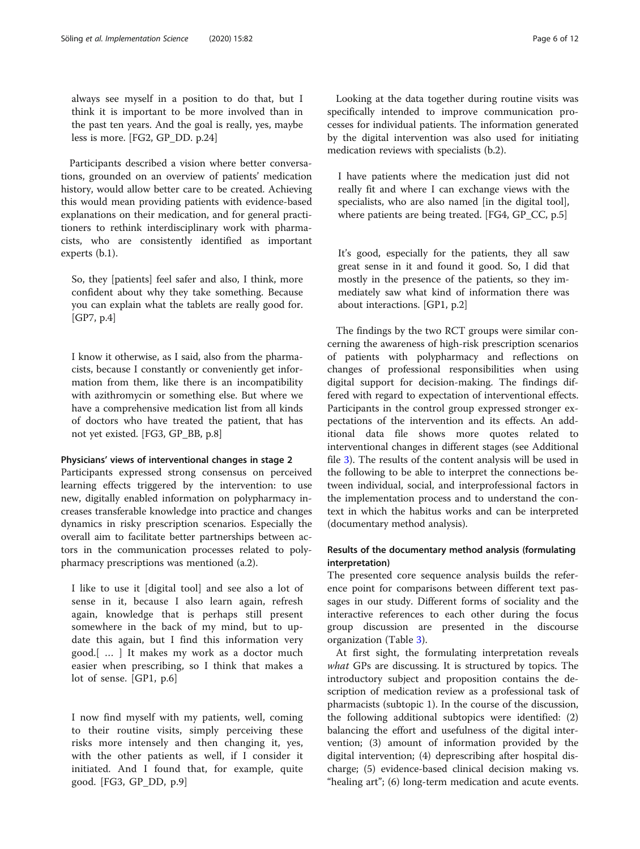always see myself in a position to do that, but I think it is important to be more involved than in the past ten years. And the goal is really, yes, maybe less is more. [FG2, GP\_DD. p.24]

Participants described a vision where better conversations, grounded on an overview of patients' medication history, would allow better care to be created. Achieving this would mean providing patients with evidence-based explanations on their medication, and for general practitioners to rethink interdisciplinary work with pharmacists, who are consistently identified as important experts (b.1).

So, they [patients] feel safer and also, I think, more confident about why they take something. Because you can explain what the tablets are really good for. [GP7, p.4]

I know it otherwise, as I said, also from the pharmacists, because I constantly or conveniently get information from them, like there is an incompatibility with azithromycin or something else. But where we have a comprehensive medication list from all kinds of doctors who have treated the patient, that has not yet existed. [FG3, GP\_BB, p.8]

## Physicians' views of interventional changes in stage 2

Participants expressed strong consensus on perceived learning effects triggered by the intervention: to use new, digitally enabled information on polypharmacy increases transferable knowledge into practice and changes dynamics in risky prescription scenarios. Especially the overall aim to facilitate better partnerships between actors in the communication processes related to polypharmacy prescriptions was mentioned (a.2).

I like to use it [digital tool] and see also a lot of sense in it, because I also learn again, refresh again, knowledge that is perhaps still present somewhere in the back of my mind, but to update this again, but I find this information very good.[ … ] It makes my work as a doctor much easier when prescribing, so I think that makes a lot of sense. [GP1, p.6]

I now find myself with my patients, well, coming to their routine visits, simply perceiving these risks more intensely and then changing it, yes, with the other patients as well, if I consider it initiated. And I found that, for example, quite good. [FG3, GP\_DD, p.9]

Looking at the data together during routine visits was specifically intended to improve communication processes for individual patients. The information generated by the digital intervention was also used for initiating medication reviews with specialists (b.2).

I have patients where the medication just did not really fit and where I can exchange views with the specialists, who are also named [in the digital tool], where patients are being treated. [FG4, GP\_CC, p.5]

It's good, especially for the patients, they all saw great sense in it and found it good. So, I did that mostly in the presence of the patients, so they immediately saw what kind of information there was about interactions. [GP1, p.2]

The findings by the two RCT groups were similar concerning the awareness of high-risk prescription scenarios of patients with polypharmacy and reflections on changes of professional responsibilities when using digital support for decision-making. The findings differed with regard to expectation of interventional effects. Participants in the control group expressed stronger expectations of the intervention and its effects. An additional data file shows more quotes related to interventional changes in different stages (see Additional file [3](#page-10-0)). The results of the content analysis will be used in the following to be able to interpret the connections between individual, social, and interprofessional factors in the implementation process and to understand the context in which the habitus works and can be interpreted (documentary method analysis).

## Results of the documentary method analysis (formulating interpretation)

The presented core sequence analysis builds the reference point for comparisons between different text passages in our study. Different forms of sociality and the interactive references to each other during the focus group discussion are presented in the discourse organization (Table [3\)](#page-6-0).

At first sight, the formulating interpretation reveals what GPs are discussing. It is structured by topics. The introductory subject and proposition contains the description of medication review as a professional task of pharmacists (subtopic 1). In the course of the discussion, the following additional subtopics were identified: (2) balancing the effort and usefulness of the digital intervention; (3) amount of information provided by the digital intervention; (4) deprescribing after hospital discharge; (5) evidence-based clinical decision making vs. "healing art"; (6) long-term medication and acute events.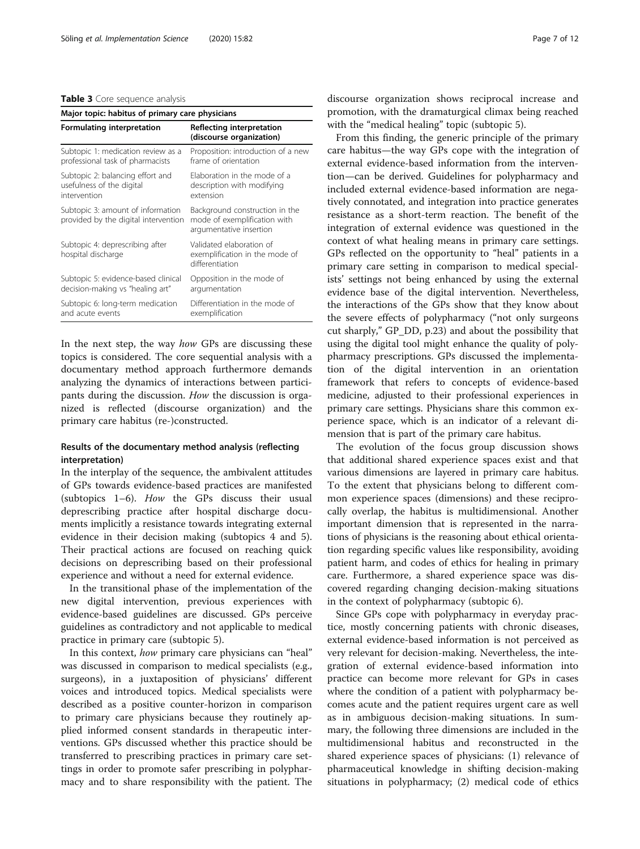## <span id="page-6-0"></span>Table 3 Core sequence analysis

| Major topic: habitus of primary care physicians                           |                                                                                           |  |  |
|---------------------------------------------------------------------------|-------------------------------------------------------------------------------------------|--|--|
| Formulating interpretation                                                | Reflecting interpretation<br>(discourse organization)                                     |  |  |
| Subtopic 1: medication review as a                                        | Proposition: introduction of a new                                                        |  |  |
| professional task of pharmacists                                          | frame of orientation                                                                      |  |  |
| Subtopic 2: balancing effort and                                          | Elaboration in the mode of a                                                              |  |  |
| usefulness of the digital                                                 | description with modifying                                                                |  |  |
| intervention                                                              | extension                                                                                 |  |  |
| Subtopic 3: amount of information<br>provided by the digital intervention | Background construction in the<br>mode of exemplification with<br>argumentative insertion |  |  |
| Subtopic 4: deprescribing after<br>hospital discharge                     | Validated elaboration of<br>exemplification in the mode of<br>differentiation             |  |  |
| Subtopic 5: evidence-based clinical                                       | Opposition in the mode of                                                                 |  |  |
| decision-making vs "healing art"                                          | argumentation                                                                             |  |  |
| Subtopic 6: long-term medication                                          | Differentiation in the mode of                                                            |  |  |
| and acute events                                                          | exemplification                                                                           |  |  |

In the next step, the way how GPs are discussing these topics is considered. The core sequential analysis with a documentary method approach furthermore demands analyzing the dynamics of interactions between participants during the discussion. How the discussion is organized is reflected (discourse organization) and the primary care habitus (re-)constructed.

## Results of the documentary method analysis (reflecting interpretation)

In the interplay of the sequence, the ambivalent attitudes of GPs towards evidence-based practices are manifested (subtopics 1–6). How the GPs discuss their usual deprescribing practice after hospital discharge documents implicitly a resistance towards integrating external evidence in their decision making (subtopics 4 and 5). Their practical actions are focused on reaching quick decisions on deprescribing based on their professional experience and without a need for external evidence.

In the transitional phase of the implementation of the new digital intervention, previous experiences with evidence-based guidelines are discussed. GPs perceive guidelines as contradictory and not applicable to medical practice in primary care (subtopic 5).

In this context, how primary care physicians can "heal" was discussed in comparison to medical specialists (e.g., surgeons), in a juxtaposition of physicians' different voices and introduced topics. Medical specialists were described as a positive counter-horizon in comparison to primary care physicians because they routinely applied informed consent standards in therapeutic interventions. GPs discussed whether this practice should be transferred to prescribing practices in primary care settings in order to promote safer prescribing in polypharmacy and to share responsibility with the patient. The

discourse organization shows reciprocal increase and promotion, with the dramaturgical climax being reached with the "medical healing" topic (subtopic 5).

From this finding, the generic principle of the primary care habitus—the way GPs cope with the integration of external evidence-based information from the intervention—can be derived. Guidelines for polypharmacy and included external evidence-based information are negatively connotated, and integration into practice generates resistance as a short-term reaction. The benefit of the integration of external evidence was questioned in the context of what healing means in primary care settings. GPs reflected on the opportunity to "heal" patients in a primary care setting in comparison to medical specialists' settings not being enhanced by using the external evidence base of the digital intervention. Nevertheless, the interactions of the GPs show that they know about the severe effects of polypharmacy ("not only surgeons cut sharply," GP\_DD, p.23) and about the possibility that using the digital tool might enhance the quality of polypharmacy prescriptions. GPs discussed the implementation of the digital intervention in an orientation framework that refers to concepts of evidence-based medicine, adjusted to their professional experiences in primary care settings. Physicians share this common experience space, which is an indicator of a relevant dimension that is part of the primary care habitus.

The evolution of the focus group discussion shows that additional shared experience spaces exist and that various dimensions are layered in primary care habitus. To the extent that physicians belong to different common experience spaces (dimensions) and these reciprocally overlap, the habitus is multidimensional. Another important dimension that is represented in the narrations of physicians is the reasoning about ethical orientation regarding specific values like responsibility, avoiding patient harm, and codes of ethics for healing in primary care. Furthermore, a shared experience space was discovered regarding changing decision-making situations in the context of polypharmacy (subtopic 6).

Since GPs cope with polypharmacy in everyday practice, mostly concerning patients with chronic diseases, external evidence-based information is not perceived as very relevant for decision-making. Nevertheless, the integration of external evidence-based information into practice can become more relevant for GPs in cases where the condition of a patient with polypharmacy becomes acute and the patient requires urgent care as well as in ambiguous decision-making situations. In summary, the following three dimensions are included in the multidimensional habitus and reconstructed in the shared experience spaces of physicians: (1) relevance of pharmaceutical knowledge in shifting decision-making situations in polypharmacy; (2) medical code of ethics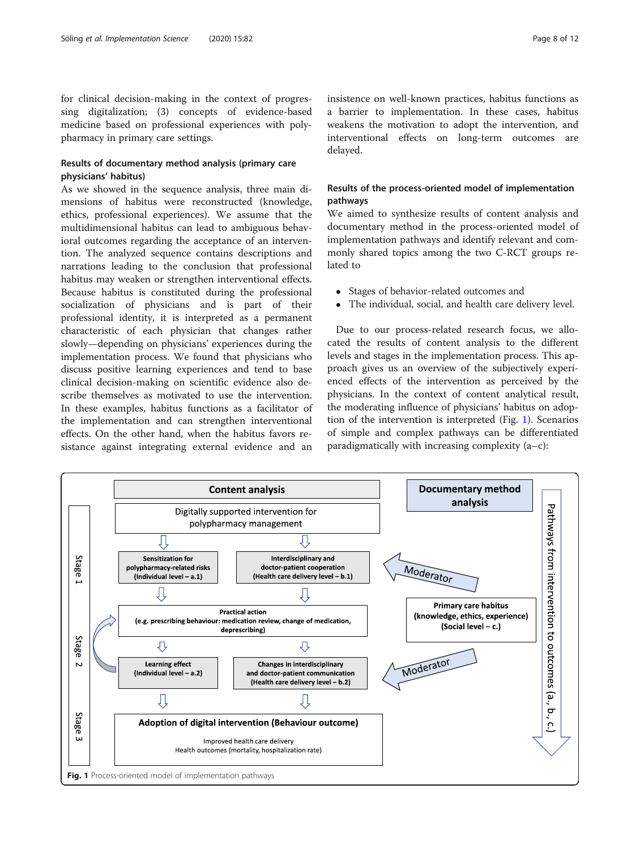for clinical decision-making in the context of progressing digitalization; (3) concepts of evidence-based medicine based on professional experiences with polypharmacy in primary care settings.

## Results of documentary method analysis (primary care physicians' habitus)

As we showed in the sequence analysis, three main dimensions of habitus were reconstructed (knowledge, ethics, professional experiences). We assume that the multidimensional habitus can lead to ambiguous behavioral outcomes regarding the acceptance of an intervention. The analyzed sequence contains descriptions and narrations leading to the conclusion that professional habitus may weaken or strengthen interventional effects. Because habitus is constituted during the professional socialization of physicians and is part of their professional identity, it is interpreted as a permanent characteristic of each physician that changes rather slowly—depending on physicians' experiences during the implementation process. We found that physicians who discuss positive learning experiences and tend to base clinical decision-making on scientific evidence also describe themselves as motivated to use the intervention. In these examples, habitus functions as a facilitator of the implementation and can strengthen interventional effects. On the other hand, when the habitus favors resistance against integrating external evidence and an

insistence on well-known practices, habitus functions as a barrier to implementation. In these cases, habitus weakens the motivation to adopt the intervention, and interventional effects on long-term outcomes are delayed.

## Results of the process-oriented model of implementation pathways

We aimed to synthesize results of content analysis and documentary method in the process-oriented model of implementation pathways and identify relevant and commonly shared topics among the two C-RCT groups related to

- Stages of behavior-related outcomes and
- The individual, social, and health care delivery level.

Due to our process-related research focus, we allocated the results of content analysis to the different levels and stages in the implementation process. This approach gives us an overview of the subjectively experienced effects of the intervention as perceived by the physicians. In the context of content analytical result, the moderating influence of physicians' habitus on adoption of the intervention is interpreted (Fig. 1). Scenarios of simple and complex pathways can be differentiated paradigmatically with increasing complexity (a–c):

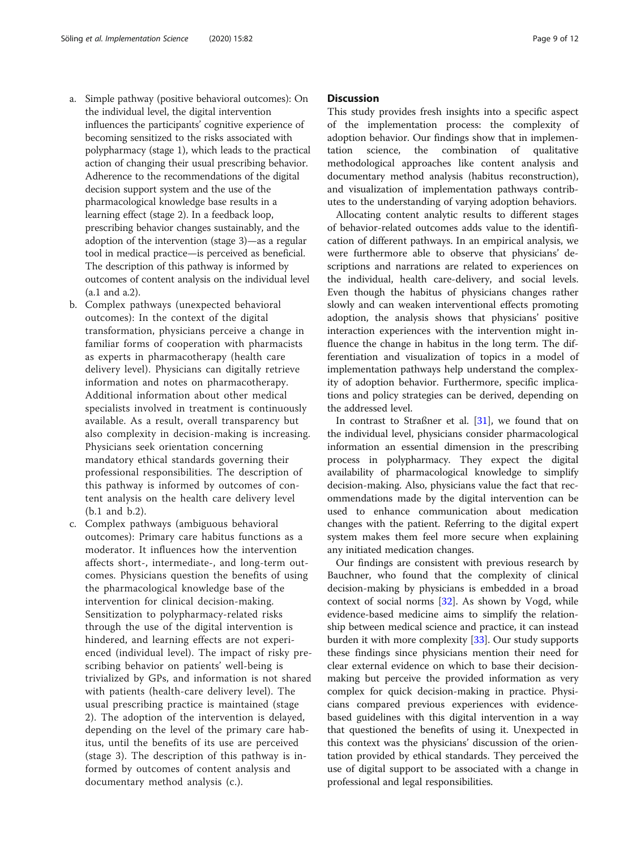- a. Simple pathway (positive behavioral outcomes): On the individual level, the digital intervention influences the participants' cognitive experience of becoming sensitized to the risks associated with polypharmacy (stage 1), which leads to the practical action of changing their usual prescribing behavior. Adherence to the recommendations of the digital decision support system and the use of the pharmacological knowledge base results in a learning effect (stage 2). In a feedback loop, prescribing behavior changes sustainably, and the adoption of the intervention (stage 3)—as a regular tool in medical practice—is perceived as beneficial. The description of this pathway is informed by outcomes of content analysis on the individual level (a.1 and a.2).
- b. Complex pathways (unexpected behavioral outcomes): In the context of the digital transformation, physicians perceive a change in familiar forms of cooperation with pharmacists as experts in pharmacotherapy (health care delivery level). Physicians can digitally retrieve information and notes on pharmacotherapy. Additional information about other medical specialists involved in treatment is continuously available. As a result, overall transparency but also complexity in decision-making is increasing. Physicians seek orientation concerning mandatory ethical standards governing their professional responsibilities. The description of this pathway is informed by outcomes of content analysis on the health care delivery level (b.1 and b.2).
- c. Complex pathways (ambiguous behavioral outcomes): Primary care habitus functions as a moderator. It influences how the intervention affects short-, intermediate-, and long-term outcomes. Physicians question the benefits of using the pharmacological knowledge base of the intervention for clinical decision-making. Sensitization to polypharmacy-related risks through the use of the digital intervention is hindered, and learning effects are not experienced (individual level). The impact of risky prescribing behavior on patients' well-being is trivialized by GPs, and information is not shared with patients (health-care delivery level). The usual prescribing practice is maintained (stage 2). The adoption of the intervention is delayed, depending on the level of the primary care habitus, until the benefits of its use are perceived (stage 3). The description of this pathway is informed by outcomes of content analysis and documentary method analysis (c.).

## **Discussion**

This study provides fresh insights into a specific aspect of the implementation process: the complexity of adoption behavior. Our findings show that in implementation science, the combination of qualitative methodological approaches like content analysis and documentary method analysis (habitus reconstruction), and visualization of implementation pathways contributes to the understanding of varying adoption behaviors.

Allocating content analytic results to different stages of behavior-related outcomes adds value to the identification of different pathways. In an empirical analysis, we were furthermore able to observe that physicians' descriptions and narrations are related to experiences on the individual, health care-delivery, and social levels. Even though the habitus of physicians changes rather slowly and can weaken interventional effects promoting adoption, the analysis shows that physicians' positive interaction experiences with the intervention might influence the change in habitus in the long term. The differentiation and visualization of topics in a model of implementation pathways help understand the complexity of adoption behavior. Furthermore, specific implications and policy strategies can be derived, depending on the addressed level.

In contrast to Straßner et al. [\[31\]](#page-11-0), we found that on the individual level, physicians consider pharmacological information an essential dimension in the prescribing process in polypharmacy. They expect the digital availability of pharmacological knowledge to simplify decision-making. Also, physicians value the fact that recommendations made by the digital intervention can be used to enhance communication about medication changes with the patient. Referring to the digital expert system makes them feel more secure when explaining any initiated medication changes.

Our findings are consistent with previous research by Bauchner, who found that the complexity of clinical decision-making by physicians is embedded in a broad context of social norms [\[32](#page-11-0)]. As shown by Vogd, while evidence-based medicine aims to simplify the relationship between medical science and practice, it can instead burden it with more complexity [\[33\]](#page-11-0). Our study supports these findings since physicians mention their need for clear external evidence on which to base their decisionmaking but perceive the provided information as very complex for quick decision-making in practice. Physicians compared previous experiences with evidencebased guidelines with this digital intervention in a way that questioned the benefits of using it. Unexpected in this context was the physicians' discussion of the orientation provided by ethical standards. They perceived the use of digital support to be associated with a change in professional and legal responsibilities.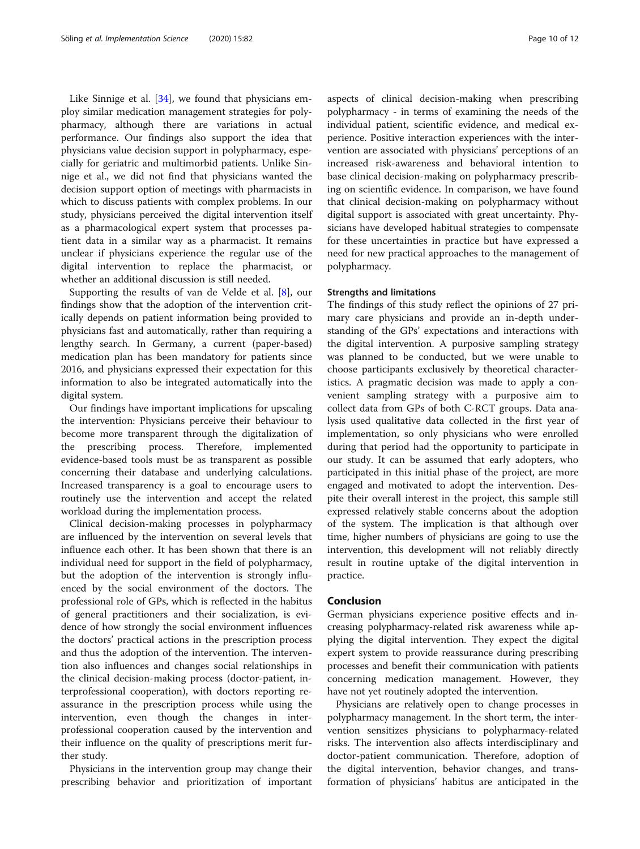Like Sinnige et al. [\[34\]](#page-11-0), we found that physicians employ similar medication management strategies for polypharmacy, although there are variations in actual performance. Our findings also support the idea that physicians value decision support in polypharmacy, especially for geriatric and multimorbid patients. Unlike Sinnige et al., we did not find that physicians wanted the decision support option of meetings with pharmacists in which to discuss patients with complex problems. In our study, physicians perceived the digital intervention itself as a pharmacological expert system that processes patient data in a similar way as a pharmacist. It remains unclear if physicians experience the regular use of the digital intervention to replace the pharmacist, or whether an additional discussion is still needed.

Supporting the results of van de Velde et al. [\[8\]](#page-11-0), our findings show that the adoption of the intervention critically depends on patient information being provided to physicians fast and automatically, rather than requiring a lengthy search. In Germany, a current (paper-based) medication plan has been mandatory for patients since 2016, and physicians expressed their expectation for this information to also be integrated automatically into the digital system.

Our findings have important implications for upscaling the intervention: Physicians perceive their behaviour to become more transparent through the digitalization of the prescribing process. Therefore, implemented evidence-based tools must be as transparent as possible concerning their database and underlying calculations. Increased transparency is a goal to encourage users to routinely use the intervention and accept the related workload during the implementation process.

Clinical decision-making processes in polypharmacy are influenced by the intervention on several levels that influence each other. It has been shown that there is an individual need for support in the field of polypharmacy, but the adoption of the intervention is strongly influenced by the social environment of the doctors. The professional role of GPs, which is reflected in the habitus of general practitioners and their socialization, is evidence of how strongly the social environment influences the doctors' practical actions in the prescription process and thus the adoption of the intervention. The intervention also influences and changes social relationships in the clinical decision-making process (doctor-patient, interprofessional cooperation), with doctors reporting reassurance in the prescription process while using the intervention, even though the changes in interprofessional cooperation caused by the intervention and their influence on the quality of prescriptions merit further study.

Physicians in the intervention group may change their prescribing behavior and prioritization of important aspects of clinical decision-making when prescribing polypharmacy - in terms of examining the needs of the individual patient, scientific evidence, and medical experience. Positive interaction experiences with the intervention are associated with physicians' perceptions of an increased risk-awareness and behavioral intention to base clinical decision-making on polypharmacy prescribing on scientific evidence. In comparison, we have found that clinical decision-making on polypharmacy without digital support is associated with great uncertainty. Physicians have developed habitual strategies to compensate for these uncertainties in practice but have expressed a need for new practical approaches to the management of polypharmacy.

## Strengths and limitations

The findings of this study reflect the opinions of 27 primary care physicians and provide an in-depth understanding of the GPs' expectations and interactions with the digital intervention. A purposive sampling strategy was planned to be conducted, but we were unable to choose participants exclusively by theoretical characteristics. A pragmatic decision was made to apply a convenient sampling strategy with a purposive aim to collect data from GPs of both C-RCT groups. Data analysis used qualitative data collected in the first year of implementation, so only physicians who were enrolled during that period had the opportunity to participate in our study. It can be assumed that early adopters, who participated in this initial phase of the project, are more engaged and motivated to adopt the intervention. Despite their overall interest in the project, this sample still expressed relatively stable concerns about the adoption of the system. The implication is that although over time, higher numbers of physicians are going to use the intervention, this development will not reliably directly result in routine uptake of the digital intervention in practice.

## Conclusion

German physicians experience positive effects and increasing polypharmacy-related risk awareness while applying the digital intervention. They expect the digital expert system to provide reassurance during prescribing processes and benefit their communication with patients concerning medication management. However, they have not yet routinely adopted the intervention.

Physicians are relatively open to change processes in polypharmacy management. In the short term, the intervention sensitizes physicians to polypharmacy-related risks. The intervention also affects interdisciplinary and doctor-patient communication. Therefore, adoption of the digital intervention, behavior changes, and transformation of physicians' habitus are anticipated in the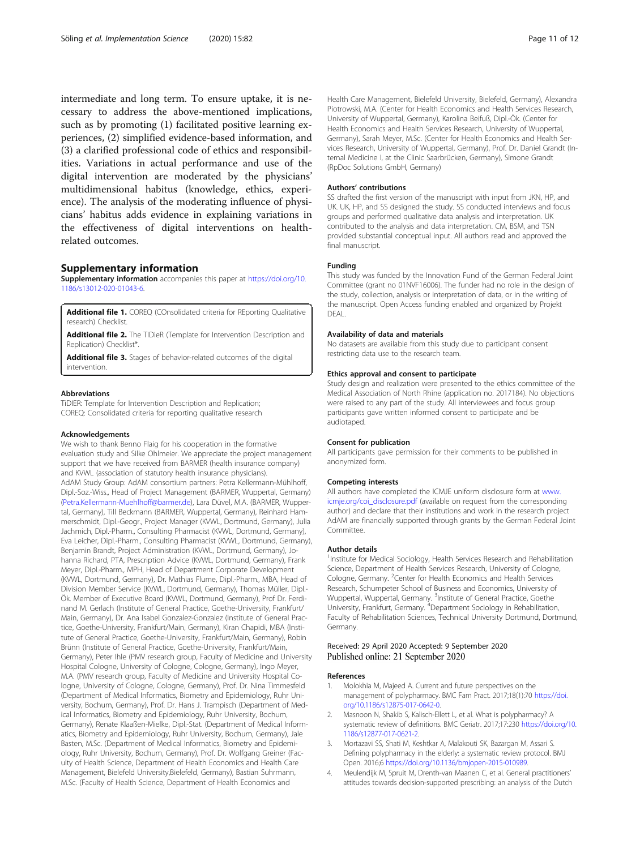<span id="page-10-0"></span>intermediate and long term. To ensure uptake, it is necessary to address the above-mentioned implications, such as by promoting (1) facilitated positive learning experiences, (2) simplified evidence-based information, and (3) a clarified professional code of ethics and responsibilities. Variations in actual performance and use of the digital intervention are moderated by the physicians' multidimensional habitus (knowledge, ethics, experience). The analysis of the moderating influence of physicians' habitus adds evidence in explaining variations in the effectiveness of digital interventions on healthrelated outcomes.

## Supplementary information

Supplementary information accompanies this paper at [https://doi.org/10.](https://doi.org/10.1186/s13012-020-01043-6) [1186/s13012-020-01043-6](https://doi.org/10.1186/s13012-020-01043-6).

Additional file 1. COREQ (COnsolidated criteria for REporting Qualitative research) Checklist.

Additional file 2. The TIDieR (Template for Intervention Description and Replication) Checklist\*.

Additional file 3. Stages of behavior-related outcomes of the digital intervention.

#### Abbreviations

TiDIER: Template for Intervention Description and Replication; COREQ: Consolidated criteria for reporting qualitative research

#### Acknowledgements

We wish to thank Benno Flaig for his cooperation in the formative evaluation study and Silke Ohlmeier. We appreciate the project management support that we have received from BARMER (health insurance company) and KVWL (association of statutory health insurance physicians). AdAM Study Group: AdAM consortium partners: Petra Kellermann-Mühlhoff, Dipl.-Soz.-Wiss., Head of Project Management (BARMER, Wuppertal, Germany) ([Petra.Kellermann-Muehlhoff@barmer.de](mailto:Petra.Kellermann-Muehlhoff@barmer.de)), Lara Düvel, M.A. (BARMER, Wuppertal, Germany), Till Beckmann (BARMER, Wuppertal, Germany), Reinhard Hammerschmidt, Dipl.-Geogr., Project Manager (KVWL, Dortmund, Germany), Julia Jachmich, Dipl.-Pharm., Consulting Pharmacist (KVWL, Dortmund, Germany), Eva Leicher, Dipl.-Pharm., Consulting Pharmacist (KVWL, Dortmund, Germany), Benjamin Brandt, Project Administration (KVWL, Dortmund, Germany), Johanna Richard, PTA, Prescription Advice (KVWL, Dortmund, Germany), Frank Meyer, Dipl.-Pharm., MPH, Head of Department Corporate Development (KVWL, Dortmund, Germany), Dr. Mathias Flume, Dipl.-Pharm., MBA, Head of Division Member Service (KVWL, Dortmund, Germany), Thomas Müller, Dipl.- Ök. Member of Executive Board (KVWL, Dortmund, Germany), Prof Dr. Ferdinand M. Gerlach (Institute of General Practice, Goethe-University, Frankfurt/ Main, Germany), Dr. Ana Isabel Gonzalez-Gonzalez (Institute of General Practice, Goethe-University, Frankfurt/Main, Germany), Kiran Chapidi, MBA (Institute of General Practice, Goethe-University, Frankfurt/Main, Germany), Robin Brünn (Institute of General Practice, Goethe-University, Frankfurt/Main, Germany), Peter Ihle (PMV research group, Faculty of Medicine and University Hospital Cologne, University of Cologne, Cologne, Germany), Ingo Meyer, M.A. (PMV research group, Faculty of Medicine and University Hospital Cologne, University of Cologne, Cologne, Germany), Prof. Dr. Nina Timmesfeld (Department of Medical Informatics, Biometry and Epidemiology, Ruhr University, Bochum, Germany), Prof. Dr. Hans J. Trampisch (Department of Medical Informatics, Biometry and Epidemiology, Ruhr University, Bochum, Germany), Renate Klaaßen-Mielke, Dipl.-Stat. (Department of Medical Informatics, Biometry and Epidemiology, Ruhr University, Bochum, Germany), Jale Basten, M.Sc. (Department of Medical Informatics, Biometry and Epidemiology, Ruhr University, Bochum, Germany), Prof. Dr. Wolfgang Greiner (Faculty of Health Science, Department of Health Economics and Health Care Management, Bielefeld University,Bielefeld, Germany), Bastian Suhrmann, M.Sc. (Faculty of Health Science, Department of Health Economics and

Health Care Management, Bielefeld University, Bielefeld, Germany), Alexandra Piotrowski, M.A. (Center for Health Economics and Health Services Research, University of Wuppertal, Germany), Karolina Beifuß, Dipl.-Ök. (Center for Health Economics and Health Services Research, University of Wuppertal, Germany), Sarah Meyer, M.Sc. (Center for Health Economics and Health Services Research, University of Wuppertal, Germany), Prof. Dr. Daniel Grandt (Internal Medicine I, at the Clinic Saarbrücken, Germany), Simone Grandt (RpDoc Solutions GmbH, Germany)

## Authors' contributions

SS drafted the first version of the manuscript with input from JKN, HP, and UK. UK, HP, and SS designed the study. SS conducted interviews and focus groups and performed qualitative data analysis and interpretation. UK contributed to the analysis and data interpretation. CM, BSM, and TSN provided substantial conceptual input. All authors read and approved the final manuscript.

## Funding

This study was funded by the Innovation Fund of the German Federal Joint Committee (grant no 01NVF16006). The funder had no role in the design of the study, collection, analysis or interpretation of data, or in the writing of the manuscript. Open Access funding enabled and organized by Projekt DEAL.

## Availability of data and materials

No datasets are available from this study due to participant consent restricting data use to the research team.

## Ethics approval and consent to participate

Study design and realization were presented to the ethics committee of the Medical Association of North Rhine (application no. 2017184). No objections were raised to any part of the study. All interviewees and focus group participants gave written informed consent to participate and be audiotaped.

#### Consent for publication

All participants gave permission for their comments to be published in anonymized form.

#### Competing interests

All authors have completed the ICMJE uniform disclosure form at [www.](http://www.icmje.org/coi_disclosure.pdf) [icmje.org/coi\\_disclosure.pdf](http://www.icmje.org/coi_disclosure.pdf) (available on request from the corresponding author) and declare that their institutions and work in the research project AdAM are financially supported through grants by the German Federal Joint Committee.

## Author details

<sup>1</sup>Institute for Medical Sociology, Health Services Research and Rehabilitation Science, Department of Health Services Research, University of Cologne, Cologne, Germany. <sup>2</sup>Center for Health Economics and Health Services Research, Schumpeter School of Business and Economics, University of Wuppertal, Wuppertal, Germany. <sup>3</sup>Institute of General Practice, Goethe University, Frankfurt, Germany. <sup>4</sup>Department Sociology in Rehabilitation Faculty of Rehabilitation Sciences, Technical University Dortmund, Dortmund, Germany.

## Received: 29 April 2020 Accepted: 9 September 2020 Published online: 21 September 2020

## References

- 1. Molokhia M, Majeed A. Current and future perspectives on the management of polypharmacy. BMC Fam Pract. 2017;18(1):70 [https://doi.](https://doi.org/10.1186/s12875-017-0642-0) [org/10.1186/s12875-017-0642-0](https://doi.org/10.1186/s12875-017-0642-0).
- 2. Masnoon N, Shakib S, Kalisch-Ellett L, et al. What is polypharmacy? A systematic review of definitions. BMC Geriatr. 2017;17:230 [https://doi.org/10.](https://doi.org/10.1186/s12877-017-0621-2) [1186/s12877-017-0621-2](https://doi.org/10.1186/s12877-017-0621-2).
- 3. Mortazavi SS, Shati M, Keshtkar A, Malakouti SK, Bazargan M, Assari S. Defining polypharmacy in the elderly: a systematic review protocol. BMJ Open. 2016;6 [https://doi.org/10.1136/bmjopen-2015-010989.](https://doi.org/10.1136/bmjopen-2015-010989)
- 4. Meulendijk M, Spruit M, Drenth-van Maanen C, et al. General practitioners' attitudes towards decision-supported prescribing: an analysis of the Dutch